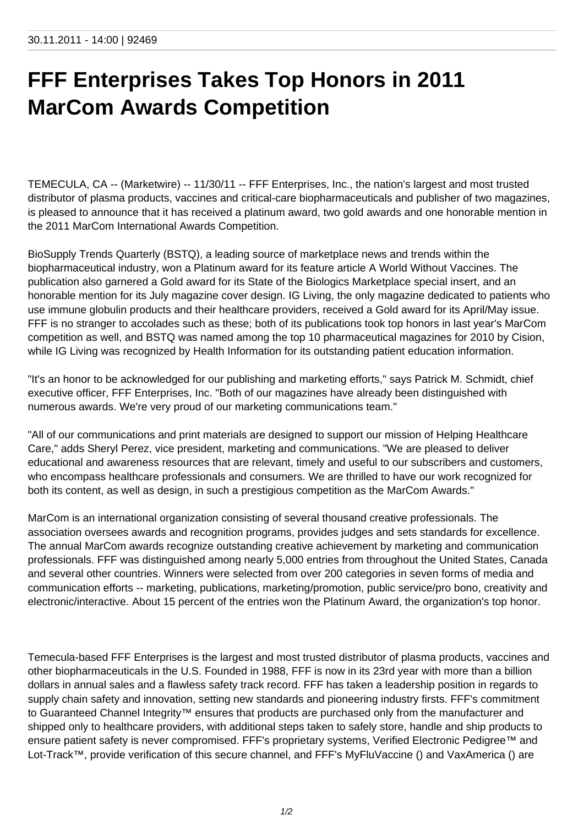## **FFF Enterprises Takes Top Honors in 2011 MarCom Awards Competition**

TEMECULA, CA -- (Marketwire) -- 11/30/11 -- FFF Enterprises, Inc., the nation's largest and most trusted distributor of plasma products, vaccines and critical-care biopharmaceuticals and publisher of two magazines, is pleased to announce that it has received a platinum award, two gold awards and one honorable mention in the 2011 MarCom International Awards Competition.

BioSupply Trends Quarterly (BSTQ), a leading source of marketplace news and trends within the biopharmaceutical industry, won a Platinum award for its feature article A World Without Vaccines. The publication also garnered a Gold award for its State of the Biologics Marketplace special insert, and an honorable mention for its July magazine cover design. IG Living, the only magazine dedicated to patients who use immune globulin products and their healthcare providers, received a Gold award for its April/May issue. FFF is no stranger to accolades such as these; both of its publications took top honors in last year's MarCom competition as well, and BSTQ was named among the top 10 pharmaceutical magazines for 2010 by Cision, while IG Living was recognized by Health Information for its outstanding patient education information.

"It's an honor to be acknowledged for our publishing and marketing efforts," says Patrick M. Schmidt, chief executive officer, FFF Enterprises, Inc. "Both of our magazines have already been distinguished with numerous awards. We're very proud of our marketing communications team."

"All of our communications and print materials are designed to support our mission of Helping Healthcare Care," adds Sheryl Perez, vice president, marketing and communications. "We are pleased to deliver educational and awareness resources that are relevant, timely and useful to our subscribers and customers, who encompass healthcare professionals and consumers. We are thrilled to have our work recognized for both its content, as well as design, in such a prestigious competition as the MarCom Awards."

MarCom is an international organization consisting of several thousand creative professionals. The association oversees awards and recognition programs, provides judges and sets standards for excellence. The annual MarCom awards recognize outstanding creative achievement by marketing and communication professionals. FFF was distinguished among nearly 5,000 entries from throughout the United States, Canada and several other countries. Winners were selected from over 200 categories in seven forms of media and communication efforts -- marketing, publications, marketing/promotion, public service/pro bono, creativity and electronic/interactive. About 15 percent of the entries won the Platinum Award, the organization's top honor.

Temecula-based FFF Enterprises is the largest and most trusted distributor of plasma products, vaccines and other biopharmaceuticals in the U.S. Founded in 1988, FFF is now in its 23rd year with more than a billion dollars in annual sales and a flawless safety track record. FFF has taken a leadership position in regards to supply chain safety and innovation, setting new standards and pioneering industry firsts. FFF's commitment to Guaranteed Channel Integrity™ ensures that products are purchased only from the manufacturer and shipped only to healthcare providers, with additional steps taken to safely store, handle and ship products to ensure patient safety is never compromised. FFF's proprietary systems, Verified Electronic Pedigree™ and Lot-Track™, provide verification of this secure channel, and FFF's MyFluVaccine () and VaxAmerica () are